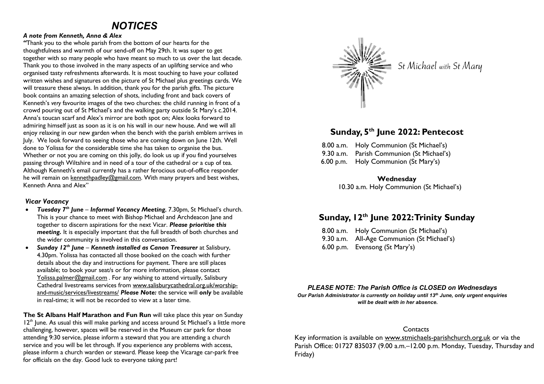# *NOTICES*

#### *A note from Kenneth, Anna & Alex*

*"*Thank you to the whole parish from the bottom of our hearts for the thoughtfulness and warmth of our send-off on May 29th. It was super to get together with so many people who have meant so much to us over the last decade. Thank you to those involved in the many aspects of an uplifting service and who organised tasty refreshments afterwards. It is most touching to have your collated written wishes and signatures on the picture of St Michael plus greetings cards. We will treasure these always. In addition, thank you for the parish gifts. The picture book contains an amazing selection of shots, including front and back covers of Kenneth's *very* favourite images of the two churches: the child running in front of a crowd pouring out of St Michael's and the walking party outside St Mary's c.2014. Anna's toucan scarf and Alex's mirror are both spot on; Alex looks forward to admiring himself just as soon as it is on his wall in our new house. And we will all enjoy relaxing in our new garden when the bench with the parish emblem arrives in July. We look forward to seeing those who are coming down on June 12th. Well done to Yolissa for the considerable time she has taken to organise the bus. Whether or not you are coming on this jolly, do look us up if you find yourselves passing through Wiltshire and in need of a tour of the cathedral or a cup of tea. Although Kenneth's email currently has a rather ferocious out-of-office responder he will remain on kennethpadley@gmail.com. With many prayers and best wishes, Kenneth Anna and Alex"

#### *Vicar Vacancy*

- *Tuesday 7th June Informal Vacancy Meeting*, 7.30pm, St Michael's church. This is your chance to meet with Bishop Michael and Archdeacon Jane and together to discern aspirations for the next Vicar. *Please prioritise this meeting.* It is especially important that the full breadth of both churches and the wider community is involved in this conversation.
- *Sunday 12th June Kenneth installed as Canon Treasurer* at Salisbury, 4.30pm. Yolissa has contacted all those booked on the coach with further details about the day and instructions for payment. There are still places available; to book your seat/s or for more information, please contact Yolissa.palmer@gmail.com . For any wishing to attend virtually, Salisbury Cathedral livestreams services from www.salisburycathedral.org.uk/worshipand-music/services/livestreams/ *Please Note:* the service will *only* be available in real-time; it will not be recorded to view at a later time.

**The St Albans Half Marathon and Fun Run** will take place this year on Sunday  $12<sup>th</sup>$  June. As usual this will make parking and access around St Michael's a little more challenging, however, spaces will be reserved in the Museum car park for those attending 9:30 service, please inform a steward that you are attending a church service and you will be let through. If you experience any problems with access, please inform a church warden or steward. Please keep the Vicarage car-park free for officials on the day. Good luck to everyone taking part!



St Michael with St Mary

# **Sunday, 5th June 2022: Pentecost**

8.00 a.m. Holy Communion (St Michael's) 9.30 a.m. Parish Communion (St Michael's) 6.00 p.m. Holy Communion (St Mary's)

### **Wednesday**

10.30 a.m. Holy Communion (St Michael's)

# **Sunday, 12th June 2022: Trinity Sunday**

8.00 a.m. Holy Communion (St Michael's) 9.30 a.m. All-Age Communion (St Michael's) 6.00 p.m. Evensong (St Mary's)

# *PLEASE NOTE: The Parish Office is CLOSED on Wednesdays*

*Our Parish Administrator is currently on holiday until 13th June, only urgent enquiries will be dealt with in her absence.*

# **Contacts**

Key information is available on www.stmichaels-parishchurch.org.uk or via the Parish Office: 01727 835037 (9.00 a.m. - 12.00 p.m. Monday, Tuesday, Thursday and Friday)